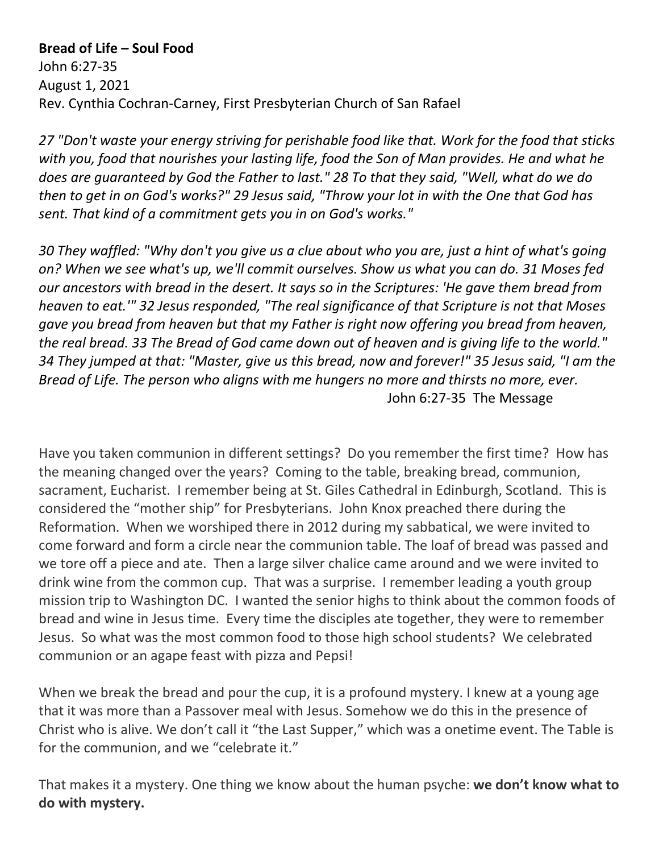## **Bread of Life – Soul Food**

John 6:27-35 August 1, 2021 Rev. Cynthia Cochran-Carney, First Presbyterian Church of San Rafael

*27 "Don't waste your energy striving for perishable food like that. Work for the food that sticks with you, food that nourishes your lasting life, food the Son of Man provides. He and what he does are guaranteed by God the Father to last." 28 To that they said, "Well, what do we do then to get in on God's works?" 29 Jesus said, "Throw your lot in with the One that God has sent. That kind of a commitment gets you in on God's works."* 

*30 They waffled: "Why don't you give us a clue about who you are, just a hint of what's going on? When we see what's up, we'll commit ourselves. Show us what you can do. 31 Moses fed our ancestors with bread in the desert. It says so in the Scriptures: 'He gave them bread from heaven to eat.'" 32 Jesus responded, "The real significance of that Scripture is not that Moses gave you bread from heaven but that my Father is right now offering you bread from heaven, the real bread. 33 The Bread of God came down out of heaven and is giving life to the world." 34 They jumped at that: "Master, give us this bread, now and forever!" 35 Jesus said, "I am the Bread of Life. The person who aligns with me hungers no more and thirsts no more, ever.* John 6:27-35 The Message

Have you taken communion in different settings? Do you remember the first time? How has the meaning changed over the years? Coming to the table, breaking bread, communion, sacrament, Eucharist. I remember being at St. Giles Cathedral in Edinburgh, Scotland. This is considered the "mother ship" for Presbyterians. John Knox preached there during the Reformation. When we worshiped there in 2012 during my sabbatical, we were invited to come forward and form a circle near the communion table. The loaf of bread was passed and we tore off a piece and ate. Then a large silver chalice came around and we were invited to drink wine from the common cup. That was a surprise. I remember leading a youth group mission trip to Washington DC. I wanted the senior highs to think about the common foods of bread and wine in Jesus time. Every time the disciples ate together, they were to remember Jesus. So what was the most common food to those high school students? We celebrated communion or an agape feast with pizza and Pepsi!

When we break the bread and pour the cup, it is a profound mystery. I knew at a young age that it was more than a Passover meal with Jesus. Somehow we do this in the presence of Christ who is alive. We don't call it "the Last Supper," which was a onetime event. The Table is for the communion, and we "celebrate it."

That makes it a mystery. One thing we know about the human psyche: **we don't know what to do with mystery.**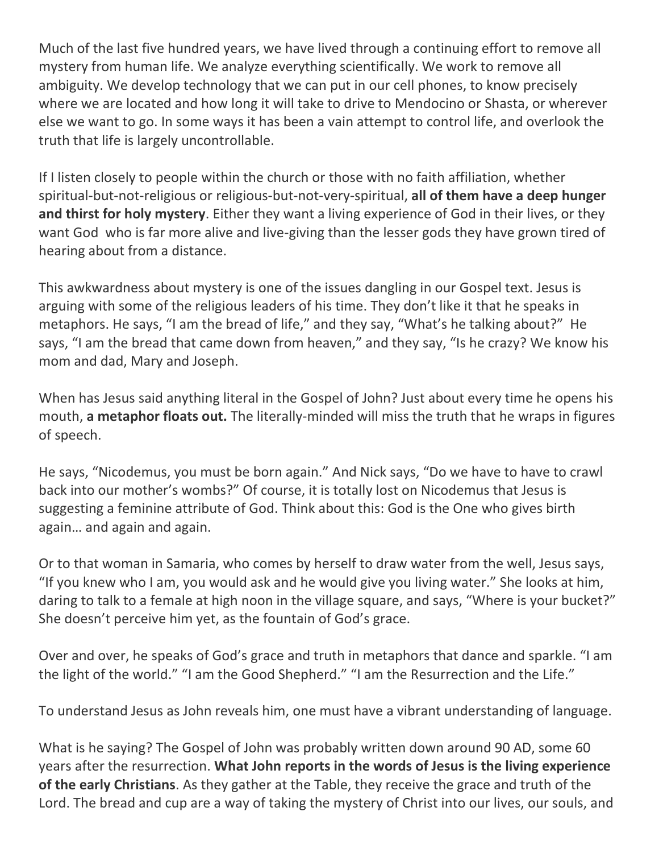Much of the last five hundred years, we have lived through a continuing effort to remove all mystery from human life. We analyze everything scientifically. We work to remove all ambiguity. We develop technology that we can put in our cell phones, to know precisely where we are located and how long it will take to drive to Mendocino or Shasta, or wherever else we want to go. In some ways it has been a vain attempt to control life, and overlook the truth that life is largely uncontrollable.

If I listen closely to people within the church or those with no faith affiliation, whether spiritual-but-not-religious or religious-but-not-very-spiritual, **all of them have a deep hunger and thirst for holy mystery**. Either they want a living experience of God in their lives, or they want God who is far more alive and live-giving than the lesser gods they have grown tired of hearing about from a distance.

This awkwardness about mystery is one of the issues dangling in our Gospel text. Jesus is arguing with some of the religious leaders of his time. They don't like it that he speaks in metaphors. He says, "I am the bread of life," and they say, "What's he talking about?" He says, "I am the bread that came down from heaven," and they say, "Is he crazy? We know his mom and dad, Mary and Joseph.

When has Jesus said anything literal in the Gospel of John? Just about every time he opens his mouth, **a metaphor floats out.** The literally-minded will miss the truth that he wraps in figures of speech.

He says, "Nicodemus, you must be born again." And Nick says, "Do we have to have to crawl back into our mother's wombs?" Of course, it is totally lost on Nicodemus that Jesus is suggesting a feminine attribute of God. Think about this: God is the One who gives birth again… and again and again.

Or to that woman in Samaria, who comes by herself to draw water from the well, Jesus says, "If you knew who I am, you would ask and he would give you living water." She looks at him, daring to talk to a female at high noon in the village square, and says, "Where is your bucket?" She doesn't perceive him yet, as the fountain of God's grace.

Over and over, he speaks of God's grace and truth in metaphors that dance and sparkle. "I am the light of the world." "I am the Good Shepherd." "I am the Resurrection and the Life."

To understand Jesus as John reveals him, one must have a vibrant understanding of language.

What is he saying? The Gospel of John was probably written down around 90 AD, some 60 years after the resurrection. **What John reports in the words of Jesus is the living experience of the early Christians**. As they gather at the Table, they receive the grace and truth of the Lord. The bread and cup are a way of taking the mystery of Christ into our lives, our souls, and